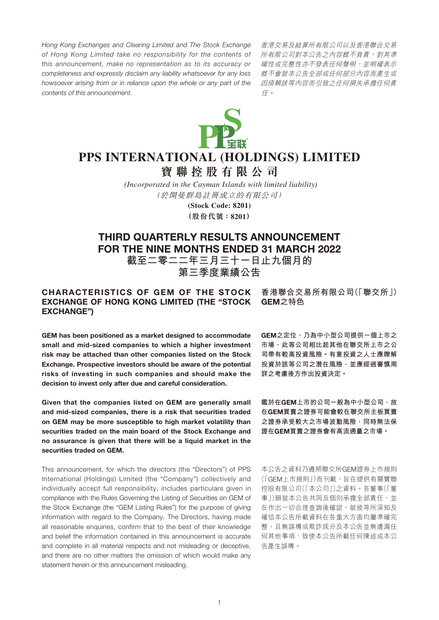*Hong Kong Exchanges and Clearing Limited and The Stock Exchange of Hong Kong Limited take no responsibility for the contents of this announcement, make no representation as to its accuracy or completeness and expressly disclaim any liability whatsoever for any loss howsoever arising from or in reliance upon the whole or any part of the contents of this announcement.*

香港交易及結算所有限公司以及香港聯合交易 所有限公司對本公告之內容概不負責,對其準 確性或完整性亦不發表任何聲明,並明確表示 概不會就本公告全部或任何部分內容而產生或 因倚賴該等內容而引致之任何損失承擔任何責 任。



# **PPS INTERNATIONAL (HOLDINGS) LIMITED**

**寶聯控股有限公司**

*(Incorporated in the Cayman Islands with limited liability)* (於開曼群島註冊成立的有限公司)

> **(Stock Code: 8201) (股份代號:8201)**

# THIRD QUARTERLY RESULTS ANNOUNCEMENT FOR THE NINE MONTHS ENDED 31 MARCH 2022

**截至二零二二年三月三十一日止九個月的 第三季度業績公告**

# CHARACTERISTICS OF GEM OF THE STOCK EXCHANGE OF HONG KONG LIMITED (THE "STOCK EXCHANGE")

**香港聯合交易所有限公司(「聯交所」)** GEM**之特色**

GEM has been positioned as a market designed to accommodate small and mid-sized companies to which a higher investment risk may be attached than other companies listed on the Stock Exchange. Prospective investors should be aware of the potential risks of investing in such companies and should make the decision to invest only after due and careful consideration.

Given that the companies listed on GEM are generally small and mid-sized companies, there is a risk that securities traded on GEM may be more susceptible to high market volatility than securities traded on the main board of the Stock Exchange and no assurance is given that there will be a liquid market in the securities traded on GEM.

This announcement, for which the directors (the "Directors") of PPS International (Holdings) Limited (the "Company") collectively and individually accept full responsibility, includes particulars given in compliance with the Rules Governing the Listing of Securities on GEM of the Stock Exchange (the "GEM Listing Rules") for the purpose of giving information with regard to the Company. The Directors, having made all reasonable enquiries, confirm that to the best of their knowledge and belief the information contained in this announcement is accurate and complete in all material respects and not misleading or deceptive, and there are no other matters the omission of which would make any statement herein or this announcement misleading.

GEM**之定位,乃為中小型公司提供一個上市之 市場,此等公司相比起其他在聯交所上市之公 司帶有較高投資風險。有意投資之人士應瞭解 投資於該等公司之潛在風險,並應經過審慎周 詳之考慮後方作出投資決定。**

**鑑於在**GEM**上市的公司一般為中小型公司,故 在**GEM**買賣之證券可能會較在聯交所主板買賣 之證券承受較大之市場波動風險,同時無法保 證在**GEM**買賣之證券會有高流通量之市場。**

本公告之資料乃遵照聯交所GEM證券上市規則 (「GEM上市規則」)而刊載,旨在提供有關寶聯 控股有限公司(「本公司」)之資料。各董事(「董 事1)願就本公告共同及個別承擔全部責任,並 在作出一切合理查詢後確認,就彼等所深知及 確信本公告所載資料在各重大方面均屬準確完 整,且無誤導或欺詐成分及本公告並無遺漏任 何其他事項,致使本公告所載任何陳述或本公 告產生誤導。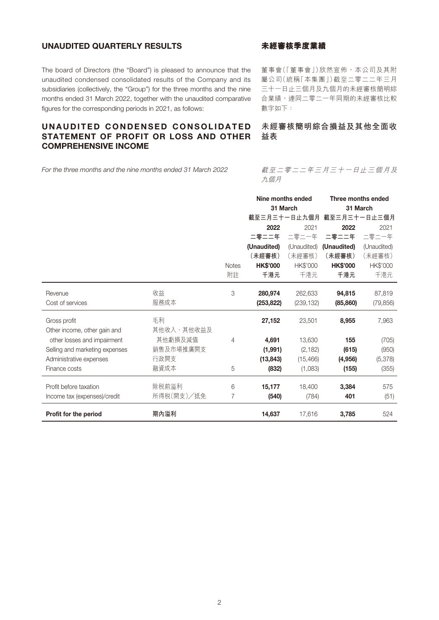# UNAUDITED QUARTERLY RESULTS

The board of Directors (the "Board") is pleased to announce that the unaudited condensed consolidated results of the Company and its subsidiaries (collectively, the "Group") for the three months and the nine months ended 31 March 2022, together with the unaudited comparative figures for the corresponding periods in 2021, as follows:

# UNAUDITED CONDENSED CONSOLIDATED STATEMENT OF PROFIT OR LOSS AND OTHER COMPREHENSIVE INCOME

*For the three months and the nine months ended 31 March 2022*

# **未經審核季度業績**

董事會(「董事會」)欣然宣佈,本公司及其附 屬公司(統稱「本集團」)截至二零二二年三月 三十一日止三個月及九個月的未經審核簡明綜 合業績,連同二零二一年同期的未經審核比較 數字如下:

# **未經審核簡明綜合損益及其他全面收 益表**

# 截至二零二二年三月三十一日止三個月及 九個月

|                                |            |              | Nine months ended |             | Three months ended |             |  |
|--------------------------------|------------|--------------|-------------------|-------------|--------------------|-------------|--|
|                                |            |              | 31 March          |             | 31 March           |             |  |
|                                |            |              | 截至三月三十一日止九個月      |             | 截至三月三十一日止三個月       |             |  |
|                                |            |              | 2022              | 2021        | 2022               | 2021        |  |
|                                |            |              | 二零二二年             | 二零二一年       | 二零二二年              | 二零二一年       |  |
|                                |            |              | (Unaudited)       | (Unaudited) | (Unaudited)        | (Unaudited) |  |
|                                |            |              | (未經審核)            | (未經審核)      | (未經審核)             | (未經審核)      |  |
|                                |            | <b>Notes</b> | <b>HK\$'000</b>   | HK\$'000    | <b>HK\$'000</b>    | HK\$'000    |  |
|                                |            | 附註           | 千港元               | 千港元         | 千港元                | 千港元         |  |
| Revenue                        | 收益         | 3            | 280,974           | 262,633     | 94,815             | 87,819      |  |
| Cost of services               | 服務成本       |              | (253, 822)        | (239, 132)  | (85, 860)          | (79, 856)   |  |
| Gross profit                   | 毛利         |              | 27,152            | 23,501      | 8,955              | 7,963       |  |
| Other income, other gain and   | 其他收入、其他收益及 |              |                   |             |                    |             |  |
| other losses and impairment    | 其他虧損及減值    | 4            | 4,691             | 13,630      | 155                | (705)       |  |
| Selling and marketing expenses | 銷售及市場推廣開支  |              | (1,991)           | (2, 182)    | (615)              | (950)       |  |
| Administrative expenses        | 行政開支       |              | (13, 843)         | (15, 466)   | (4,956)            | (5,378)     |  |
| Finance costs                  | 融資成本       | 5            | (832)             | (1,083)     | (155)              | (355)       |  |
| Profit before taxation         | 除税前溢利      | 6            | 15,177            | 18,400      | 3,384              | 575         |  |
| Income tax (expenses)/credit   | 所得税(開支)/抵免 | 7            | (540)             | (784)       | 401                | (51)        |  |
| Profit for the period          | 期內溢利       |              | 14,637            | 17,616      | 3,785              | 524         |  |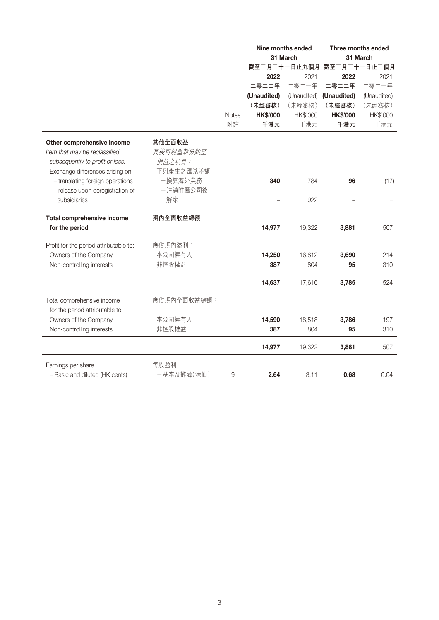|                                        |             |              |                 | Nine months ended<br>31 March | Three months ended<br>31 March |             |  |
|----------------------------------------|-------------|--------------|-----------------|-------------------------------|--------------------------------|-------------|--|
|                                        |             |              |                 | 截至三月三十一日止九個月                  | 截至三月三十一日止三個月                   |             |  |
|                                        |             |              | 2022            | 2021                          | 2022                           | 2021        |  |
|                                        |             |              | 二零二二年           | 二零二一年                         | 二零二二年                          | 二零二一年       |  |
|                                        |             |              | (Unaudited)     | (Unaudited)                   | (Unaudited)                    | (Unaudited) |  |
|                                        |             |              | (未經審核)          | (未經審核)                        | (未經審核)                         | (未經審核)      |  |
|                                        |             | <b>Notes</b> | <b>HK\$'000</b> | HK\$'000                      | <b>HK\$'000</b>                | HK\$'000    |  |
|                                        |             | 附註           | 千港元             | 千港元                           | 千港元                            | 千港元         |  |
| Other comprehensive income             | 其他全面收益      |              |                 |                               |                                |             |  |
| Item that may be reclassified          | 其後可能重新分類至   |              |                 |                               |                                |             |  |
| subsequently to profit or loss:        | 損益之項目:      |              |                 |                               |                                |             |  |
| Exchange differences arising on        | 下列產生之匯兑差額   |              |                 |                               |                                |             |  |
| - translating foreign operations       | 一換算海外業務     |              | 340             | 784                           | 96                             | (17)        |  |
| - release upon deregistration of       | 一註銷附屬公司後    |              |                 |                               |                                |             |  |
| subsidiaries                           | 解除          |              |                 | 922                           |                                |             |  |
| Total comprehensive income             | 期內全面收益總額    |              |                 |                               |                                |             |  |
| for the period                         |             |              | 14,977          | 19,322                        | 3,881                          | 507         |  |
| Profit for the period attributable to: | 應佔期內溢利:     |              |                 |                               |                                |             |  |
| Owners of the Company                  | 本公司擁有人      |              | 14,250          | 16,812                        | 3,690                          | 214         |  |
| Non-controlling interests              | 非控股權益       |              | 387             | 804                           | 95                             | 310         |  |
|                                        |             |              | 14,637          | 17,616                        | 3,785                          | 524         |  |
| Total comprehensive income             | 應佔期內全面收益總額: |              |                 |                               |                                |             |  |
| for the period attributable to:        |             |              |                 |                               |                                |             |  |
| Owners of the Company                  | 本公司擁有人      |              | 14,590          | 18,518                        | 3,786                          | 197         |  |
| Non-controlling interests              | 非控股權益       |              | 387             | 804                           | 95                             | 310         |  |
|                                        |             |              | 14,977          | 19,322                        | 3,881                          | 507         |  |
| Earnings per share                     | 每股盈利        |              |                 |                               |                                |             |  |
| - Basic and diluted (HK cents)         | 一基本及攤薄(港仙)  | 9            | 2.64            | 3.11                          | 0.68                           | 0.04        |  |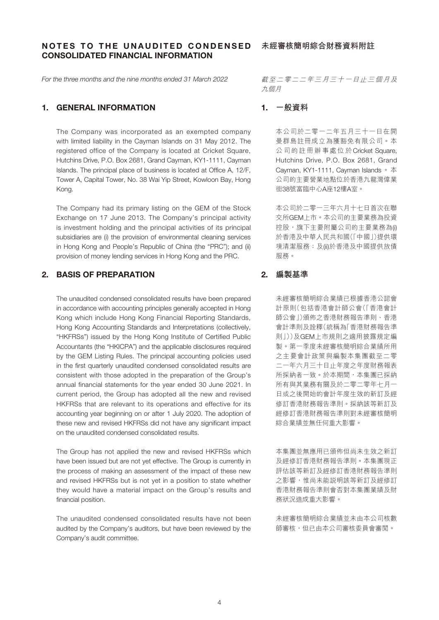# NOTES TO THE UNAUDITED CONDENSED CONSOLIDATED FINANCIAL INFORMATION

*For the three months and the nine months ended 31 March 2022*

# 1. GENERAL INFORMATION

The Company was incorporated as an exempted company with limited liability in the Cayman Islands on 31 May 2012. The registered office of the Company is located at Cricket Square, Hutchins Drive, P.O. Box 2681, Grand Cayman, KY1-1111, Cayman Islands. The principal place of business is located at Office A, 12/F, Tower A, Capital Tower, No. 38 Wai Yip Street, Kowloon Bay, Hong Kong.

The Company had its primary listing on the GEM of the Stock Exchange on 17 June 2013. The Company's principal activity is investment holding and the principal activities of its principal subsidiaries are (i) the provision of environmental cleaning services in Hong Kong and People's Republic of China (the "PRC"); and (ii) provision of money lending services in Hong Kong and the PRC.

# 2. BASIS OF PREPARATION

The unaudited condensed consolidated results have been prepared in accordance with accounting principles generally accepted in Hong Kong which include Hong Kong Financial Reporting Standards, Hong Kong Accounting Standards and Interpretations (collectively, "HKFRSs") issued by the Hong Kong Institute of Certified Public Accountants (the "HKICPA") and the applicable disclosures required by the GEM Listing Rules. The principal accounting policies used in the first quarterly unaudited condensed consolidated results are consistent with those adopted in the preparation of the Group's annual financial statements for the year ended 30 June 2021. In current period, the Group has adopted all the new and revised HKFRSs that are relevant to its operations and effective for its accounting year beginning on or after 1 July 2020. The adoption of these new and revised HKFRSs did not have any significant impact on the unaudited condensed consolidated results.

The Group has not applied the new and revised HKFRSs which have been issued but are not yet effective. The Group is currently in the process of making an assessment of the impact of these new and revised HKFRSs but is not yet in a position to state whether they would have a material impact on the Group's results and financial position.

The unaudited condensed consolidated results have not been audited by the Company's auditors, but have been reviewed by the Company's audit committee.

截至二零二二年三月三十一日止三個月及 九個月

# 1. **一般資料**

本公司於二零一二年五月三十一日在開 曼群島註冊成立為獲豁免有限公司。本 公司的註冊辦事處位於Cricket Square, Hutchins Drive, P.O. Box 2681, Grand Cayman, KY1-1111, Cayman Islands 。 本 公司的主要營業地點位於香港九龍灣偉業 街38號富臨中心A座12樓A室。

本公司於二零一三年六月十七日首次在聯 交所GEM上市。本公司的主要業務為投資 控股,旗下主要附屬公司的主要業務為(i) 於香港及中華人民共和國(「中國」)提供環 境清潔服務;及(ii)於香港及中國提供放債 服務。

# 2. **編製基準**

未經審核簡明綜合業績已根據香港公認會 計原則(包括香港會計師公會(「香港會計 師公會」)頒佈之香港財務報告準則、香港 會計準則及詮釋(統稱為「香港財務報告準 則」))及GEM上市規則之適用披露規定編 製。第一季度未經審核簡明綜合業績所用 之主要會計政策與編製本集團截至二零 二一年六月三十日止年度之年度財務報表 所採納者一致。於本期間,本集團已採納 所有與其業務有關及於二零二零年七月一 日或之後開始的會計年度生效的新訂及經 修訂香港財務報告準則。採納該等新訂及 經修訂香港財務報告準則對未經審核簡明 綜合業績並無任何重大影響。

本集團並無應用已頒佈但尚未生效之新訂 及經修訂香港財務報告準則。本集團現正 評估該等新訂及經修訂香港財務報告準則 之影響,惟尚未能說明該等新訂及經修訂 香港財務報告準則會否對本集團業績及財 務狀況造成重大影響。

未經審核簡明綜合業績並未由本公司核數 師審核,但已由本公司審核委員會審閱。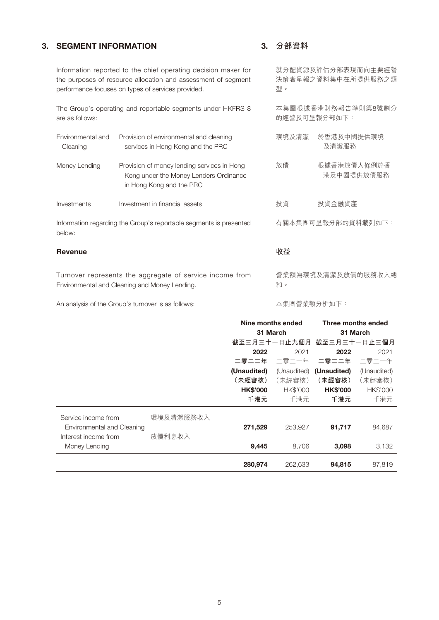# 3. SEGMENT INFORMATION

# 3. **分部資料**

型。

**收益**

和。

就分配資源及評估分部表現而向主要經營 決策者呈報之資料集中在所提供服務之類

本集團根據香港財務報告準則第8號劃分

的經營及可呈報分部如下:

Information reported to the chief operating decision maker for the purposes of resource allocation and assessment of segment performance focuses on types of services provided.

The Group's operating and reportable segments under HKFRS 8 are as follows:

| Environmental and<br>Cleaning | Provision of environmental and cleaning<br>services in Hong Kong and the PRC                                      | 環境及清潔 | 於香港及中國提供環境<br>及清潔服務       |
|-------------------------------|-------------------------------------------------------------------------------------------------------------------|-------|---------------------------|
| Money Lending                 | Provision of money lending services in Hong<br>Kong under the Money Lenders Ordinance<br>in Hong Kong and the PRC | 放債    | 根據香港放債人條例於香<br>港及中國提供放債服務 |
| Investments                   | Investment in financial assets                                                                                    | 投資    | 投資金融資產                    |
|                               | Information regarding the Group's reportable segments is presented                                                |       | 有關本集團可呈報分部的資料載列如下:        |

below:

#### Revenue

Turnover represents the aggregate of service income from Environmental and Cleaning and Money Lending.

An analysis of the Group's turnover is as follows:

本集團營業額分析如下:

營業額為環境及清潔及放債的服務收入總

|                            |           |                 | Nine months ended | Three months ended        |             |  |
|----------------------------|-----------|-----------------|-------------------|---------------------------|-------------|--|
|                            |           | 31 March        |                   | 31 March                  |             |  |
|                            |           |                 |                   | 截至三月三十一日止九個月 截至三月三十一日止三個月 |             |  |
|                            |           | 2022            | 2021              | 2022                      | 2021        |  |
|                            |           | 二零二二年           | 二零二一年             | 二零二二年                     | 二零二一年       |  |
|                            |           | (Unaudited)     | (Unaudited)       | (Unaudited)               | (Unaudited) |  |
|                            |           | (未經審核)          | (未經審核)            | (未經審核)                    | (未經審核)      |  |
|                            |           | <b>HK\$'000</b> | HK\$'000          | <b>HK\$'000</b>           | HK\$'000    |  |
|                            |           | 千港元             | 千港元               | 千港元                       | 千港元         |  |
| Service income from        | 環境及清潔服務收入 |                 |                   |                           |             |  |
| Environmental and Cleaning |           | 271,529         | 253,927           | 91,717                    | 84,687      |  |
| Interest income from       | 放債利息收入    |                 |                   |                           |             |  |
| Money Lending              |           | 9,445           | 8.706             | 3,098                     | 3,132       |  |
|                            |           | 280,974         | 262,633           | 94,815                    | 87,819      |  |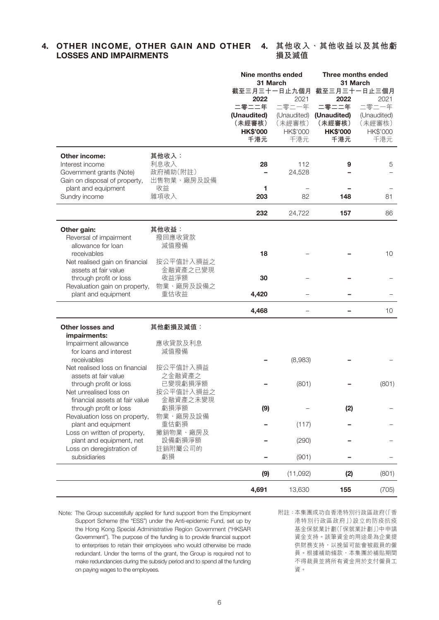# 4. OTHER INCOME, OTHER GAIN AND OTHER 4. 其他收入 **· 其他收益以及其他**虧 LOSSES AND IMPAIRMENTS

**損及減值**

|                                                |                   | <b>Nine months ended</b> |             | Three months ended<br>31 March |                 |  |  |
|------------------------------------------------|-------------------|--------------------------|-------------|--------------------------------|-----------------|--|--|
|                                                |                   | 31 March                 |             |                                |                 |  |  |
|                                                |                   | 截至三月三十一日止九個月<br>2022     | 2021        | 截至三月三十一日止三個月<br>2022<br>2021   |                 |  |  |
|                                                |                   | 二零二二年                    | 二零二一年       | 二零二二年                          | 二零二一年           |  |  |
|                                                |                   | (Unaudited)              | (Unaudited) | (Unaudited)                    | (Unaudited)     |  |  |
|                                                |                   | (未經審核)                   | (未經審核)      | (未經審核)                         | (未經審核)          |  |  |
|                                                |                   | <b>HK\$'000</b>          | HK\$'000    | <b>HK\$'000</b>                | HK\$'000        |  |  |
|                                                |                   | 千港元                      | 千港元         | 千港元                            | 千港元             |  |  |
|                                                | 其他收入:             |                          |             |                                |                 |  |  |
| <b>Other income:</b><br>Interest income        | 利息收入              | 28                       | 112         | 9                              | 5               |  |  |
| Government grants (Note)                       | 政府補助(附註)          |                          | 24,528      |                                |                 |  |  |
| Gain on disposal of property,                  | 出售物業、廠房及設備        |                          |             |                                |                 |  |  |
| plant and equipment                            | 收益                | 1                        |             |                                |                 |  |  |
| Sundry income                                  | 雜項收入              | 203                      | 82          | 148                            | 81              |  |  |
|                                                |                   |                          |             |                                |                 |  |  |
|                                                |                   | 232                      | 24,722      | 157                            | 86              |  |  |
| Other gain:                                    | 其他收益:             |                          |             |                                |                 |  |  |
| Reversal of impairment                         | 撥回應收貸款            |                          |             |                                |                 |  |  |
| allowance for loan                             | 減值撥備              |                          |             |                                |                 |  |  |
| receivables                                    |                   | 18                       |             |                                | 10              |  |  |
| Net realised gain on financial                 | 按公平值計入損益之         |                          |             |                                |                 |  |  |
| assets at fair value                           | 金融資產之已變現          |                          |             |                                |                 |  |  |
| through profit or loss                         | 收益淨額              | 30                       |             |                                |                 |  |  |
| Revaluation gain on property,                  | 物業、廠房及設備之<br>重估收益 |                          |             |                                |                 |  |  |
| plant and equipment                            |                   | 4,420                    |             |                                |                 |  |  |
|                                                |                   | 4,468                    |             |                                | 10 <sup>1</sup> |  |  |
| <b>Other losses and</b>                        | 其他虧損及減值:          |                          |             |                                |                 |  |  |
| impairments:                                   |                   |                          |             |                                |                 |  |  |
| Impairment allowance                           | 應收貸款及利息           |                          |             |                                |                 |  |  |
| for loans and interest                         | 減值撥備              |                          |             |                                |                 |  |  |
| receivables                                    |                   |                          | (8,983)     |                                |                 |  |  |
| Net realised loss on financial                 | 按公平值計入損益          |                          |             |                                |                 |  |  |
| assets at fair value<br>through profit or loss | 之金融資產之<br>已變現虧損淨額 |                          | (801)       |                                | (801)           |  |  |
| Net unrealised loss on                         | 按公平值計入損益之         |                          |             |                                |                 |  |  |
| financial assets at fair value                 | 金融資產之未變現          |                          |             |                                |                 |  |  |
| through profit or loss                         | 虧損淨額              | (9)                      |             | (2)                            |                 |  |  |
| Revaluation loss on property,                  | 物業、廠房及設備          |                          |             |                                |                 |  |  |
| plant and equipment                            | 重估虧損              |                          | (117)       |                                |                 |  |  |
| Loss on written of property,                   | 撇銷物業、廠房及          |                          |             |                                |                 |  |  |
| plant and equipment, net                       | 設備虧損淨額            |                          | (290)       |                                |                 |  |  |
| Loss on deregistration of                      | 註銷附屬公司的           |                          |             |                                |                 |  |  |
| subsidiaries                                   | 虧損                |                          | (901)       |                                |                 |  |  |
|                                                |                   | (9)                      | (11,092)    | (2)                            | (801)           |  |  |
|                                                |                   | 4,691                    | 13,630      | 155                            | (705)           |  |  |

Note: The Group successfully applied for fund support from the Employment Support Scheme (the "ESS") under the Anti-epidemic Fund, set up by the Hong Kong Special Administrative Region Government ("HKSAR Government"). The purpose of the funding is to provide financial support to enterprises to retain their employees who would otherwise be made redundant. Under the terms of the grant, the Group is required not to make redundancies during the subsidy period and to spend all the funding on paying wages to the employees.

附註:本集團成功自香港特別行政區政府(「香 港特別行政區政府」)設立的防疫抗疫 基金保就業計劃(「保就業計劃」)中申請 資金支持。該筆資金的用途是為企業提 供財務支持,以挽留可能會被裁員的僱 員。根據補助條款,本集團於補貼期間 不得裁員並將所有資金用於支付僱員工 資。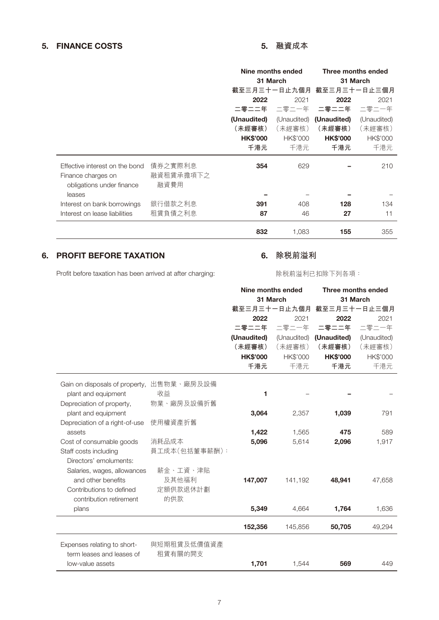# 5. FINANCE COSTS 5. **融資成本**

|                                |           | Nine months ended |          | Three months ended<br>31 March |             |  |
|--------------------------------|-----------|-------------------|----------|--------------------------------|-------------|--|
|                                |           | 31 March          |          |                                |             |  |
|                                |           |                   |          | 截至三月三十一日止九個月 截至三月三十一日止三個月      |             |  |
|                                |           | 2022              | 2021     |                                | 2021        |  |
|                                |           | 二零二二年             | 二零二一年    | 二零二二年                          | 二零二一年       |  |
|                                |           | (Unaudited)       |          | (Unaudited) (Unaudited)        | (Unaudited) |  |
|                                |           | (未經審核)            | (未經審核)   | (未經審核)                         | (未經審核)      |  |
|                                |           | <b>HK\$'000</b>   | HK\$'000 | <b>HK\$'000</b>                | HK\$'000    |  |
|                                |           | 千港元               | 千港元      | 千港元                            | 千港元         |  |
| Effective interest on the bond | 債券之實際利息   | 354               | 629      |                                | 210         |  |
| Finance charges on             | 融資租賃承擔項下之 |                   |          |                                |             |  |
| obligations under finance      | 融資費用      |                   |          |                                |             |  |
| leases                         |           |                   |          |                                |             |  |
| Interest on bank borrowings    | 銀行借款之利息   | 391               | 408      | 128                            | 134         |  |
| Interest on lease liabilities  | 租賃負債之利息   | 87                | 46       | 27                             | 11          |  |
|                                |           | 832               | 1,083    | 155                            | 355         |  |

# 6. PROFIT BEFORE TAXATION

Profit before taxation has been arrived at after charging:

# 6. **除稅前溢利**

除稅前溢利已扣除下列各項:

|                                |               | Nine months ended |             | Three months ended |              |  |  |
|--------------------------------|---------------|-------------------|-------------|--------------------|--------------|--|--|
|                                |               | 31 March          |             | 31 March           |              |  |  |
|                                |               | 截至三月三十一日止九個月      |             |                    | 截至三月三十一日止三個月 |  |  |
|                                |               | 2022              | 2021        | 2022               | 2021         |  |  |
|                                |               | 二零二二年             | 二零二一年       | 二零二二年              | 二零二一年        |  |  |
|                                |               | (Unaudited)       | (Unaudited) | (Unaudited)        | (Unaudited)  |  |  |
|                                |               | (未經審核)            | (未經審核)      | (未經審核)             | (未經審核)       |  |  |
|                                |               | <b>HK\$'000</b>   | HK\$'000    | <b>HK\$'000</b>    | HK\$'000     |  |  |
|                                |               | 千港元               | 千港元         | 千港元                | 千港元          |  |  |
| Gain on disposals of property, | 出售物業、廠房及設備    |                   |             |                    |              |  |  |
| plant and equipment            | 收益            | 1                 |             |                    |              |  |  |
| Depreciation of property,      | 物業、廠房及設備折舊    |                   |             |                    |              |  |  |
| plant and equipment            |               | 3,064             | 2,357       | 1,039              | 791          |  |  |
| Depreciation of a right-of-use | 使用權資產折舊       |                   |             |                    |              |  |  |
| assets                         |               | 1,422             | 1,565       | 475                | 589          |  |  |
| Cost of consumable goods       | 消耗品成本         | 5,096             | 5,614       | 2,096              | 1,917        |  |  |
| Staff costs including          | 員工成本(包括董事薪酬): |                   |             |                    |              |  |  |
| Directors' emoluments:         |               |                   |             |                    |              |  |  |
| Salaries, wages, allowances    | 薪金、工資、津貼      |                   |             |                    |              |  |  |
| and other benefits             | 及其他福利         | 147,007           | 141,192     | 48,941             | 47,658       |  |  |
| Contributions to defined       | 定額供款退休計劃      |                   |             |                    |              |  |  |
| contribution retirement        | 的供款           |                   |             |                    |              |  |  |
| plans                          |               | 5,349             | 4,664       | 1,764              | 1,636        |  |  |
|                                |               |                   |             |                    |              |  |  |
|                                |               | 152,356           | 145,856     | 50,705             | 49,294       |  |  |
| Expenses relating to short-    | 與短期租賃及低價值資產   |                   |             |                    |              |  |  |
| term leases and leases of      | 租賃有關的開支       |                   |             |                    |              |  |  |
| low-value assets               |               | 1,701             | 1,544       | 569                | 449          |  |  |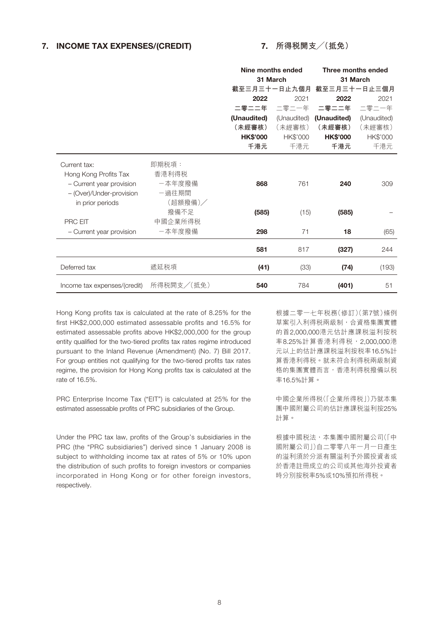# 7. INCOME TAX EXPENSES/(CREDIT)

# 7. **所得稅開支╱(抵免)**

|                                                                   |                          | Nine months ended |             | Three months ended        |             |  |  |
|-------------------------------------------------------------------|--------------------------|-------------------|-------------|---------------------------|-------------|--|--|
|                                                                   |                          | 31 March          |             | 31 March                  |             |  |  |
|                                                                   |                          |                   |             | 截至三月三十一日止九個月 截至三月三十一日止三個月 |             |  |  |
|                                                                   |                          | 2022              | 2021        | 2022                      | 2021        |  |  |
|                                                                   |                          | 二零二二年             | 二零二一年       | 二零二二年                     | 二零二一年       |  |  |
|                                                                   |                          | (Unaudited)       | (Unaudited) | (Unaudited)               | (Unaudited) |  |  |
|                                                                   |                          | (未經審核)            | (未經審核)      | (未經審核)                    | (未經審核)      |  |  |
|                                                                   |                          | <b>HK\$'000</b>   | HK\$'000    | <b>HK\$'000</b>           | HK\$'000    |  |  |
|                                                                   |                          | 千港元               | 千港元         | 千港元                       | 千港元         |  |  |
| Current tax:<br>Hong Kong Profits Tax<br>- Current year provision | 即期税項:<br>香港利得税<br>一本年度撥備 | 868               | 761         | 240                       | 309         |  |  |
| - (Over)/Under-provision<br>in prior periods                      | 一過往期間<br>(超額撥備)/<br>撥備不足 | (585)             | (15)        | (585)                     |             |  |  |
| <b>PRC EIT</b><br>- Current year provision                        | 中國企業所得税<br>一本年度撥備        | 298               | 71          | 18                        | (65)        |  |  |
|                                                                   |                          |                   |             |                           |             |  |  |
|                                                                   |                          | 581               | 817         | (327)                     | 244         |  |  |
| Deferred tax                                                      | 遞延税項                     | (41)              | (33)        | (74)                      | (193)       |  |  |
| Income tax expenses/(credit)                                      | 所得税開支/(抵免)               | 540               | 784         | (401)                     | 51          |  |  |

Hong Kong profits tax is calculated at the rate of 8.25% for the first HK\$2,000,000 estimated assessable profits and 16.5% for estimated assessable profits above HK\$2,000,000 for the group entity qualified for the two-tiered profits tax rates regime introduced pursuant to the Inland Revenue (Amendment) (No. 7) Bill 2017. For group entities not qualifying for the two-tiered profits tax rates regime, the provision for Hong Kong profits tax is calculated at the rate of 16.5%.

PRC Enterprise Income Tax ("EIT") is calculated at 25% for the estimated assessable profits of PRC subsidiaries of the Group.

Under the PRC tax law, profits of the Group's subsidiaries in the PRC (the "PRC subsidiaries") derived since 1 January 2008 is subject to withholding income tax at rates of 5% or 10% upon the distribution of such profits to foreign investors or companies incorporated in Hong Kong or for other foreign investors, respectively.

根據二零一七年稅務(修訂)(第7號)條例 草案引入利得税兩級制,合資格集團實體 的首2,000,000港元估計應課稅溢利按稅 率8.25%計算香港利得税, 2,000,000港 元以上的估計應課稅溢利按稅率16.5%計 算香港利得稅。就未符合利得稅兩級制資 格的集團實體而言,香港利得稅撥備以稅 率16.5%計算。

中國企業所得稅(「企業所得稅」)乃就本集 團中國附屬公司的估計應課稅溢利按25% 計算。

根據中國税法,本集團中國附屬公司(「中 國附屬公司」)自二零零八年一月一日產生 的溢利須於分派有關溢利予外國投資者或 於香港註冊成立的公司或其他海外投資者 時分別按稅率5%或10%預扣所得稅。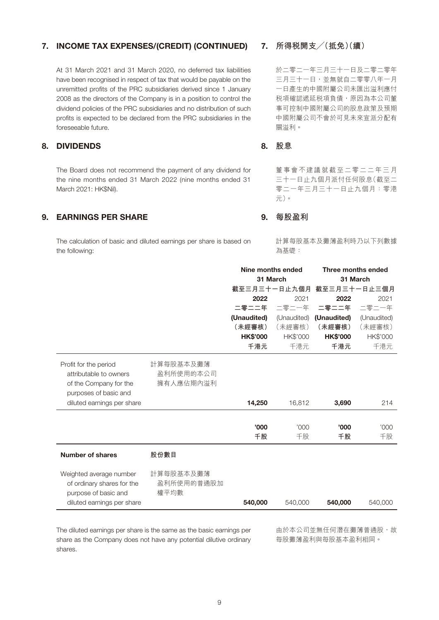# 7. INCOME TAX EXPENSES/(CREDIT) (CONTINUED)

At 31 March 2021 and 31 March 2020, no deferred tax liabilities have been recognised in respect of tax that would be payable on the unremitted profits of the PRC subsidiaries derived since 1 January 2008 as the directors of the Company is in a position to control the dividend policies of the PRC subsidiaries and no distribution of such profits is expected to be declared from the PRC subsidiaries in the foreseeable future.

# 8. DIVIDENDS

The Board does not recommend the payment of any dividend for the nine months ended 31 March 2022 (nine months ended 31 March 2021: HK\$Nil).

# 9. EARNINGS PER SHARE

The calculation of basic and diluted earnings per share is based on the following:

# 7. **所得稅開支╱(抵免)(續)**

於二零二一年三月三十一日及二零二零年 三月三十一日,並無就自二零零八年一月 一日產生的中國附屬公司未匯出溢利應付 税項確認遞延税項負債,原因為本公司董 事可控制中國附屬公司的股息政策及預期 中國附屬公司不會於可見未來宣派分配有 關溢利。

# 8. **股息**

董事會不建議就截至二零二二年三月 三十一日止九個月派付任何股息(截至二 零二一年三月三十一日止九個月:零港 元)。

# 9. **每股盈利**

計算每股基本及攤薄盈利時乃以下列數據 為基礎:

|                                                                                                    |                                     | Nine months ended |             | Three months ended |             |  |  |
|----------------------------------------------------------------------------------------------------|-------------------------------------|-------------------|-------------|--------------------|-------------|--|--|
|                                                                                                    |                                     | 31 March          |             | 31 March           |             |  |  |
|                                                                                                    |                                     | 截至三月三十一日止九個月      |             | 截至三月三十一日止三個月       |             |  |  |
|                                                                                                    |                                     | 2022              | 2021        | 2022               | 2021        |  |  |
|                                                                                                    |                                     | 二零二二年             | 二零二一年       | 二零二二年              | 二零二一年       |  |  |
|                                                                                                    |                                     | (Unaudited)       | (Unaudited) | (Unaudited)        | (Unaudited) |  |  |
|                                                                                                    |                                     | (未經審核)            | (未經審核)      | (未經審核)             | (未經審核)      |  |  |
|                                                                                                    |                                     | <b>HK\$'000</b>   | HK\$'000    | <b>HK\$'000</b>    | HK\$'000    |  |  |
|                                                                                                    |                                     | 千港元               | 千港元         | 千港元                | 千港元         |  |  |
| Profit for the period<br>attributable to owners<br>of the Company for the<br>purposes of basic and | 計算每股基本及攤薄<br>盈利所使用的本公司<br>擁有人應佔期內溢利 |                   |             |                    |             |  |  |
| diluted earnings per share                                                                         |                                     | 14,250            | 16,812      | 3,690              | 214         |  |  |
|                                                                                                    |                                     |                   |             |                    |             |  |  |
|                                                                                                    |                                     | '000'             | '000        | '000'              | '000        |  |  |
|                                                                                                    |                                     | 千股                | 千股          | 千股                 | 千股          |  |  |
| <b>Number of shares</b>                                                                            | 股份數目                                |                   |             |                    |             |  |  |
| Weighted average number<br>of ordinary shares for the<br>purpose of basic and                      | 計算每股基本及攤薄<br>盈利所使用的普通股加<br>權平均數     |                   |             |                    |             |  |  |
| diluted earnings per share                                                                         |                                     | 540,000           | 540,000     | 540,000            | 540,000     |  |  |
|                                                                                                    |                                     |                   |             |                    |             |  |  |

The diluted earnings per share is the same as the basic earnings per share as the Company does not have any potential dilutive ordinary shares.

**由於本公司並無任何潛在攤薄普通股,故** 每股攤薄盈利與每股基本盈利相同。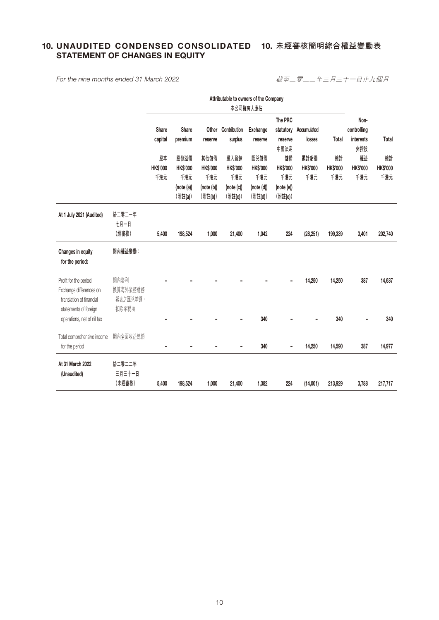# 10. UNAUDITED CONDENSED CONSOLIDATED 10. 未經審核簡明綜合權益變動表 STATEMENT OF CHANGES IN EQUITY

*For the nine months ended 31 March 2022*

截至二零二二年三月三十一日止九個月

|                                                                                                       |                                       |                |                              |                              | Attributable to owners of the Company |                              |                              |                         |                       |                       |                       |
|-------------------------------------------------------------------------------------------------------|---------------------------------------|----------------|------------------------------|------------------------------|---------------------------------------|------------------------------|------------------------------|-------------------------|-----------------------|-----------------------|-----------------------|
|                                                                                                       |                                       |                | 本公司擁有人應佔                     |                              |                                       |                              |                              |                         |                       |                       |                       |
|                                                                                                       |                                       | Share          | Share                        | Other                        | Contribution                          | <b>Exchange</b>              | The PRC<br>statutory         | Accumulated             |                       | Non-<br>controlling   |                       |
|                                                                                                       |                                       | capital        | premium                      | reserve                      | surplus                               | reserve                      | reserve<br>中國法定              | losses                  | Total                 | interests<br>非控股      | Total                 |
|                                                                                                       |                                       | 股本<br>HK\$'000 | 股份溢價<br><b>HK\$'000</b>      | 其他儲備<br><b>HK\$'000</b>      | 繳入盈餘<br><b>HK\$'000</b>               | 匯兑儲備<br>HK\$'000             | 儲備<br><b>HK\$'000</b>        | 累計虧損<br><b>HK\$'000</b> | 總計<br><b>HK\$'000</b> | 權益<br><b>HK\$'000</b> | 總計<br><b>HK\$'000</b> |
|                                                                                                       |                                       | 千港元            | 千港元<br>(note (a))<br>(附註(a)) | 千港元<br>(note (b))<br>(附註(b)) | 千港元<br>(note (c))<br>(附註(c))          | 千港元<br>(note (d))<br>(附註(d)) | 千港元<br>(note (e))<br>(附註(e)) | 千港元                     | 千港元                   | 千港元                   | 千港元                   |
| At 1 July 2021 (Audited)                                                                              | 於二零二一年<br>七月一日<br>(經審核)               |                |                              |                              |                                       |                              |                              |                         |                       |                       |                       |
|                                                                                                       |                                       | 5,400          | 198,524                      | 1,000                        | 21,400                                | 1,042                        | 224                          | (28, 251)               | 199,339               | 3,401                 | 202,740               |
| Changes in equity<br>for the period:                                                                  | 期內權益變動:                               |                |                              |                              |                                       |                              |                              |                         |                       |                       |                       |
| Profit for the period<br>Exchange differences on<br>translation of financial<br>statements of foreign | 期內溢利<br>換算海外業務財務<br>報表之匯兑差額,<br>扣除零税項 |                |                              |                              |                                       |                              |                              | 14,250                  | 14,250                | 387                   | 14,637                |
| operations, net of nil tax                                                                            |                                       | ۰              |                              |                              |                                       | 340                          |                              |                         | 340                   |                       | 340                   |
| Total comprehensive income                                                                            | 期內全面收益總額                              |                |                              |                              |                                       | 340                          |                              | 14,250                  | 14,590                | 387                   | 14,977                |
| for the period                                                                                        |                                       |                |                              |                              |                                       |                              |                              |                         |                       |                       |                       |
| At 31 March 2022<br>(Unaudited)                                                                       | 於二零二二年<br>三月三十一日                      |                |                              |                              |                                       |                              |                              |                         |                       |                       |                       |
|                                                                                                       | (未經審核)                                | 5,400          | 198,524                      | 1,000                        | 21,400                                | 1,382                        | 224                          | (14,001)                | 213,929               | 3,788                 | 217,717               |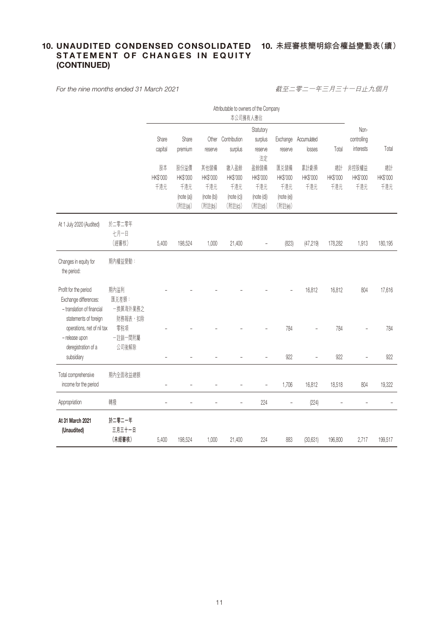# 10. UNAUDITED CONDENSED CONSOLIDATED 10. 未經審核簡明綜合權益變動表(續) STATEMENT OF CHANGES IN EQUITY (CONTINUED)

*For the nine months ended 31 March 2021*

截至二零二一年三月三十一日止九個月

|                                                                                                       |                                       | Attributable to owners of the Company<br>本公司擁有人應佔 |                                                  |                                                  |                                                  |                                                                                 |                                                  |                         |                                  |                          |                       |
|-------------------------------------------------------------------------------------------------------|---------------------------------------|---------------------------------------------------|--------------------------------------------------|--------------------------------------------------|--------------------------------------------------|---------------------------------------------------------------------------------|--------------------------------------------------|-------------------------|----------------------------------|--------------------------|-----------------------|
|                                                                                                       |                                       | Share<br>capital                                  | Share<br>premium                                 | reserve                                          | Other Contribution<br>surplus                    | Statutory<br>surplus<br>Exchange<br>Accumulated<br>losses<br>reserve<br>reserve |                                                  | Total                   | Non-<br>controlling<br>interests | Total                    |                       |
|                                                                                                       |                                       | 股本<br>HK\$'000<br>千港元                             | 股份溢價<br>HK\$'000<br>千港元<br>(note (a))<br>(附註(a)) | 其他儲備<br>HK\$'000<br>千港元<br>(note (b))<br>(附註(b)) | 繳入盈餘<br>HK\$'000<br>千港元<br>(note (c))<br>(附註(c)) | 法定<br>盈餘儲備<br>HK\$'000<br>千港元<br>(note (d))<br>(附註(d))                          | 匯兑儲備<br>HK\$'000<br>千港元<br>(note (e))<br>(附註(e)) | 累計虧損<br>HK\$'000<br>千港元 | 總計<br>HK\$'000<br>千港元            | 非控股權益<br>HK\$'000<br>千港元 | 總計<br>HK\$'000<br>千港元 |
| At 1 July 2020 (Audited)                                                                              | 於二零二零年<br>七月一日<br>(經審核)               | 5,400                                             | 198,524                                          | 1,000                                            | 21,400                                           |                                                                                 | (823)                                            | (47, 219)               | 178,282                          | 1,913                    | 180,195               |
| Changes in equity for<br>the period:                                                                  | 期內權益變動:                               |                                                   |                                                  |                                                  |                                                  |                                                                                 |                                                  |                         |                                  |                          |                       |
| Profit for the period<br>Exchange differences:<br>- translation of financial<br>statements of foreign | 期內溢利<br>匯兑差額:<br>一換算海外業務之<br>財務報表, 扣除 |                                                   |                                                  |                                                  |                                                  |                                                                                 |                                                  | 16,812                  | 16,812                           | 804                      | 17,616                |
| operations, net of nil tax<br>- release upon<br>deregistration of a                                   | 零税項<br>一註銷一間附屬<br>公司後解除               |                                                   |                                                  |                                                  |                                                  |                                                                                 | 784                                              |                         | 784                              |                          | 784                   |
| subsidiary                                                                                            |                                       |                                                   |                                                  |                                                  |                                                  |                                                                                 | 922                                              |                         | 922                              |                          | 922                   |
| Total comprehensive<br>income for the period                                                          | 期內全面收益總額                              | $\overline{a}$                                    |                                                  |                                                  |                                                  |                                                                                 | 1,706                                            | 16,812                  | 18,518                           | 804                      | 19,322                |
| Appropriation                                                                                         | 轉撥                                    |                                                   |                                                  |                                                  |                                                  | 224                                                                             |                                                  | (224)                   |                                  |                          |                       |
| At 31 March 2021<br>(Unaudited)                                                                       | 於二零二一年<br>三月三十一日<br>(未經審核)            | 5,400                                             | 198,524                                          | 1,000                                            | 21,400                                           | 224                                                                             | 883                                              | (30, 631)               | 196,800                          | 2,717                    | 199,517               |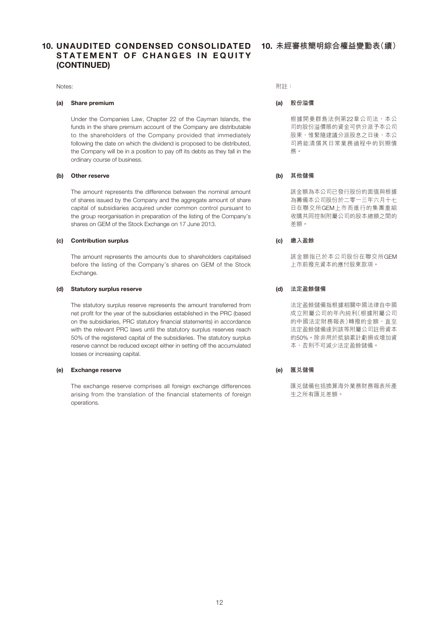Notes:

#### (a) Share premium

Under the Companies Law, Chapter 22 of the Cayman Islands, the funds in the share premium account of the Company are distributable to the shareholders of the Company provided that immediately following the date on which the dividend is proposed to be distributed, the Company will be in a position to pay off its debts as they fall in the ordinary course of business.

#### (b) Other reserve

The amount represents the difference between the nominal amount of shares issued by the Company and the aggregate amount of share capital of subsidiaries acquired under common control pursuant to the group reorganisation in preparation of the listing of the Company's shares on GEM of the Stock Exchange on 17 June 2013.

#### (c) Contribution surplus

The amount represents the amounts due to shareholders capitalised before the listing of the Company's shares on GEM of the Stock Exchange.

#### (d) Statutory surplus reserve

The statutory surplus reserve represents the amount transferred from net profit for the year of the subsidiaries established in the PRC (based on the subsidiaries, PRC statutory financial statements) in accordance with the relevant PRC laws until the statutory surplus reserves reach 50% of the registered capital of the subsidiaries. The statutory surplus reserve cannot be reduced except either in setting off the accumulated losses or increasing capital.

#### (e) Exchange reserve

The exchange reserve comprises all foreign exchange differences arising from the translation of the financial statements of foreign operations.

附註:

#### (a) **股份溢價**

根據開曼群島法例第22章公司法,本公 司的股份溢價賬的資金可供分派予本公司 股東,惟緊隨建議分派股息之日後,本公 司將能清償其日常業務過程中的到期債 務。

#### (b) **其他儲備**

該金額為本公司已發行股份的面值與根據 為籌備本公司股份於二零一三年六月十七 日在聯交所GEM上市而進行的集團重組 收購共同控制附屬公司的股本總額之間的 差額。

# (c) **繳入盈餘**

該金額指已於本公司股份在聯交所GEM 上市前撥充資本的應付股東款項。

#### (d) **法定盈餘儲備**

法定盈餘儲備指根據相關中國法律自中國 成立附屬公司的年內純利(根據附屬公司 的中國法定財務報表)轉撥的金額, 直至 法定盈餘儲備達到該等附屬公司註冊資本 的50%。除非用於抵銷累計虧損或增加資 本,否則不可減少法定盈餘儲備。

#### (e) **匯兌儲備**

匯兑儲備包括換算海外業務財務報表所產 生之所有匯兌差額。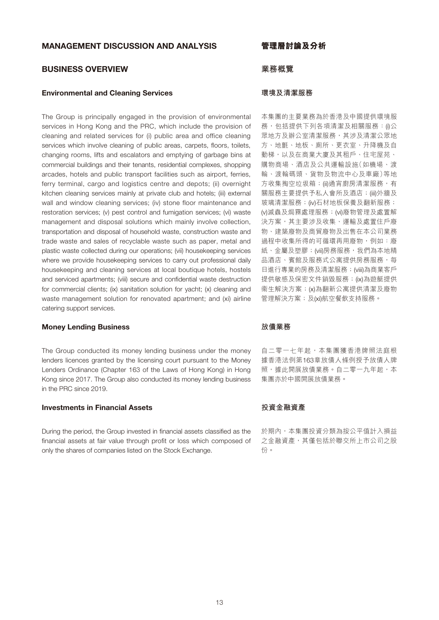# MANAGEMENT DISCUSSION AND ANALYSIS

# BUSINESS OVERVIEW

#### Environmental and Cleaning Services

The Group is principally engaged in the provision of environmental services in Hong Kong and the PRC, which include the provision of cleaning and related services for (i) public area and office cleaning services which involve cleaning of public areas, carpets, floors, toilets, changing rooms, lifts and escalators and emptying of garbage bins at commercial buildings and their tenants, residential complexes, shopping arcades, hotels and public transport facilities such as airport, ferries, ferry terminal, cargo and logistics centre and depots; (ii) overnight kitchen cleaning services mainly at private club and hotels; (iii) external wall and window cleaning services; (iv) stone floor maintenance and restoration services; (v) pest control and fumigation services; (vi) waste management and disposal solutions which mainly involve collection, transportation and disposal of household waste, construction waste and trade waste and sales of recyclable waste such as paper, metal and plastic waste collected during our operations; (vii) housekeeping services where we provide housekeeping services to carry out professional daily housekeeping and cleaning services at local boutique hotels, hostels and serviced apartments; (viii) secure and confidential waste destruction for commercial clients; (ix) sanitation solution for yacht; (x) cleaning and waste management solution for renovated apartment; and (xi) airline catering support services.

# Money Lending Business

The Group conducted its money lending business under the money lenders licences granted by the licensing court pursuant to the Money Lenders Ordinance (Chapter 163 of the Laws of Hong Kong) in Hong Kong since 2017. The Group also conducted its money lending business in the PRC since 2019.

#### Investments in Financial Assets

During the period, the Group invested in financial assets classified as the financial assets at fair value through profit or loss which composed of only the shares of companies listed on the Stock Exchange.

**管理層討論及分析**

# **業務概覽**

#### **環境及清潔服務**

本集團的主要業務為於香港及中國提供環境服 務,包括提供下列各項清潔及相關服務:(i)公 眾地方及辦公室清潔服務,其涉及清潔公眾地 方、地氈、地板、廁所、更衣室、升降機及自 動梯,以及在商業大廈及其租戶、住宅屋苑、 購物商場、酒店及公共運輸設施(如機場、渡 輪、渡輪碼頭、貨物及物流中心及車廠)等地 方收集掏空垃圾箱;(ii)通宵廚房清潔服務,有 關服務主要提供予私人會所及酒店;(iii)外牆及 玻璃清潔服務;(iv)石材地板保養及翻新服務; (v)滅蟲及焗霧處理服務;(vi)廢物管理及處置解 決方案,其主要涉及收集、運輸及處置住戶廢 物、建築廢物及商貿廢物及出售在本公司業務 過程中收集所得的可循環再用廢物,例如:廢 紙、金屬及塑膠; (vii)房務服務, 我們為本地精 品酒店、賓館及服務式公寓提供房務服務,每 日進行專業的房務及清潔服務;(viii)為商業客戶 提供敏感及保密文件銷毀服務;(ix)為遊艇提供 衞生解決方案;(x)為翻新公寓提供清潔及廢物 管理解決方案;及(xi)航空餐飲支持服務。

# **放債業務**

自二零一七年起,本集團獲香港牌照法庭根 據香港法例第163章放債人條例授予放債人牌 照,據此開展放債業務。自二零一九年起,本 集團亦於中國開展放債業務。

# **投資金融資產**

於期內,本集團投資分類為按公平值計入損益 之金融資產,其僅包括於聯交所上市公司之股 份。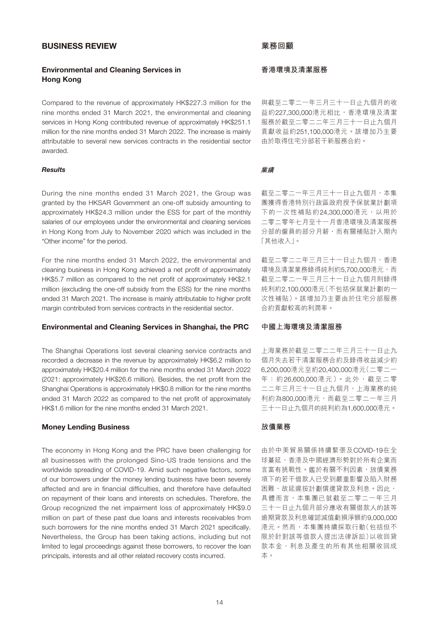# BUSINESS REVIEW

# Environmental and Cleaning Services in Hong Kong

Compared to the revenue of approximately HK\$227.3 million for the nine months ended 31 March 2021, the environmental and cleaning services in Hong Kong contributed revenue of approximately HK\$251.1 million for the nine months ended 31 March 2022. The increase is mainly attributable to several new services contracts in the residential sector awarded.

#### *Results*

During the nine months ended 31 March 2021, the Group was granted by the HKSAR Government an one-off subsidy amounting to approximately HK\$24.3 million under the ESS for part of the monthly salaries of our employees under the environmental and cleaning services in Hong Kong from July to November 2020 which was included in the "Other income" for the period.

For the nine months ended 31 March 2022, the environmental and cleaning business in Hong Kong achieved a net profit of approximately HK\$5.7 million as compared to the net profit of approximately HK\$2.1 million (excluding the one-off subsidy from the ESS) for the nine months ended 31 March 2021. The increase is mainly attributable to higher profit margin contributed from services contracts in the residential sector.

#### Environmental and Cleaning Services in Shanghai, the PRC

The Shanghai Operations lost several cleaning service contracts and recorded a decrease in the revenue by approximately HK\$6.2 million to approximately HK\$20.4 million for the nine months ended 31 March 2022 (2021: approximately HK\$26.6 million). Besides, the net profit from the Shanghai Operations is approximately HK\$0.8 million for the nine months ended 31 March 2022 as compared to the net profit of approximately HK\$1.6 million for the nine months ended 31 March 2021.

#### Money Lending Business

The economy in Hong Kong and the PRC have been challenging for all businesses with the prolonged Sino-US trade tensions and the worldwide spreading of COVID-19. Amid such negative factors, some of our borrowers under the money lending business have been severely affected and are in financial difficulties, and therefore have defaulted on repayment of their loans and interests on schedules. Therefore, the Group recognized the net impairment loss of approximately HK\$9.0 million on part of these past due loans and interests receivables from such borrowers for the nine months ended 31 March 2021 specifically. Nevertheless, the Group has been taking actions, including but not limited to legal proceedings against these borrowers, to recover the loan principals, interests and all other related recovery costs incurred.

# **業務回顧**

### **香港環境及清潔服務**

與截至二零二一年三月三十一日止九個月的收 益約227,300,000港元相比,香港環境及清潔 服務於截至二零二二年三月三十一日止九個月 貢獻收益約251,100,000港元。該增加乃主要 由於取得住宅分部若干新服務合約。

#### **業績**

截至二零二一年三月三十一日止九個月,本集 團獲得香港特別行政區政府授予保就業計劃項 下的一次性補貼約24,300,000港元,以用於 二零二零年七月至十一月香港環境及清潔服務 分部的僱員的部分月薪,而有關補貼計入期內 「其他收入」。

截至二零二二年三月三十一日止九個月,香港 環境及清潔業務錄得純利約5,700,000港元,而 截至二零二一年三月三十一日止九個月則錄得 純利約2,100,000港元(不包括保就業計劃的一 次性補貼)。該增加乃主要由於住宅分部服務 合約貢獻較高的利潤率。

# **中國上海環境及清潔服務**

上海業務於截至二零二二年三月三十一日止九 個月失去若干清潔服務合約及錄得收益減少約 6,200,000港元至約20,400,000港元(二零二一 年:約26,600,000港元)。此外,截至二零 二二年三月三十一日止九個月,上海業務的純 利約為800,000港元,而截至二零二一年三月 三十一日止九個月的純利約為1,600,000港元。

#### **放債業務**

由於中美貿易關係持續緊張及COVID-19在全 球蔓延,香港及中國經濟形勢對於所有企業而 言富有挑戰性。鑑於有關不利因素,放債業務 項下的若干借款人已受到嚴重影響及陷入財務 困難,故延遲按計劃償還貸款及利息。因此, 具體而言,本集團已就截至二零二一年三月 三十一日止九個月部分應收有關借款人的該等 逾期貸款及利息確認減值虧損淨額約9,000,000 港元。然而,本集團持續採取行動(包括但不 限於針對該等借款人提出法律訴訟)以收回貸 款本金、利息及產生的所有其他相關收回成 本。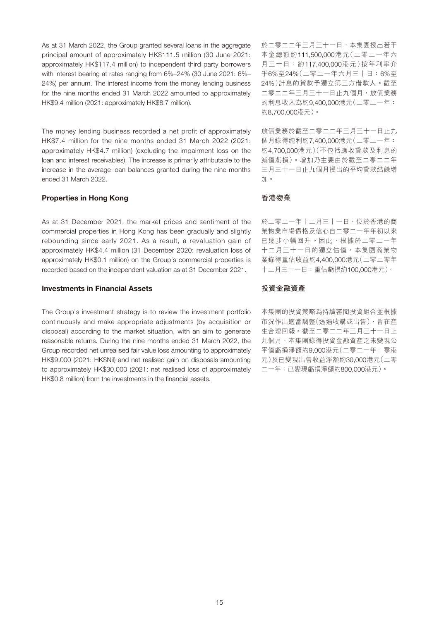As at 31 March 2022, the Group granted several loans in the aggregate principal amount of approximately HK\$111.5 million (30 June 2021: approximately HK\$117.4 million) to independent third party borrowers with interest bearing at rates ranging from 6%–24% (30 June 2021: 6%– 24%) per annum. The interest income from the money lending business for the nine months ended 31 March 2022 amounted to approximately HK\$9.4 million (2021: approximately HK\$8.7 million).

The money lending business recorded a net profit of approximately HK\$7.4 million for the nine months ended 31 March 2022 (2021: approximately HK\$4.7 million) (excluding the impairment loss on the loan and interest receivables). The increase is primarily attributable to the increase in the average loan balances granted during the nine months ended 31 March 2022.

#### Properties in Hong Kong

As at 31 December 2021, the market prices and sentiment of the commercial properties in Hong Kong has been gradually and slightly rebounding since early 2021. As a result, a revaluation gain of approximately HK\$4.4 million (31 December 2020: revaluation loss of approximately HK\$0.1 million) on the Group's commercial properties is recorded based on the independent valuation as at 31 December 2021.

# Investments in Financial Assets

The Group's investment strategy is to review the investment portfolio continuously and make appropriate adjustments (by acquisition or disposal) according to the market situation, with an aim to generate reasonable returns. During the nine months ended 31 March 2022, the Group recorded net unrealised fair value loss amounting to approximately HK\$9,000 (2021: HK\$Nil) and net realised gain on disposals amounting to approximately HK\$30,000 (2021: net realised loss of approximately HK\$0.8 million) from the investments in the financial assets.

於二零二二年三月三十一日,本集團授出若干 本金總額約111,500,000港元(二零二一年六 月三十日:約117,400,000港元)按年利率介 乎6%至24%(二零二一年六月三十日:6%至 24%)計息的貸款予獨立第三方借款人。截至 二零二二年三月三十一日止九個月,放債業務 的利息收入為約9,400,000港元(二零二一年: 約8,700,000港元)。

放債業務於截至二零二二年三月三十一日止九 個月錄得純利約7,400,000港元(二零二一年: 約4,700,000港元)(不包括應收貸款及利息的 減值虧損)。增加乃主要由於截至二零二二年 三月三十一日止九個月授出的平均貸款結餘增 加。

#### **香港物業**

於二零二一年十二月三十一日,位於香港的商 業物業市場價格及信心自二零二一年年初以來 已逐步小幅回升。因此,根據於二零二一年 十二月三十一日的獨立估值,本集團商業物 業錄得重估收益約4,400,000港元(二零二零年 十二月三十一日:重估虧損約100,000港元)。

### **投資金融資產**

本集團的投資策略為持續審閱投資組合並根據 市況作出適當調整(透過收購或出售),旨在產 生合理回報。截至二零二二年三月三十一日止 九個月,本集團錄得投資金融資產之未變現公 平值虧損淨額約9,000港元(二零二一年:零港 元)及已變現出售收益淨額約30,000港元(二零 二一年:已變現虧損淨額約800,000港元)。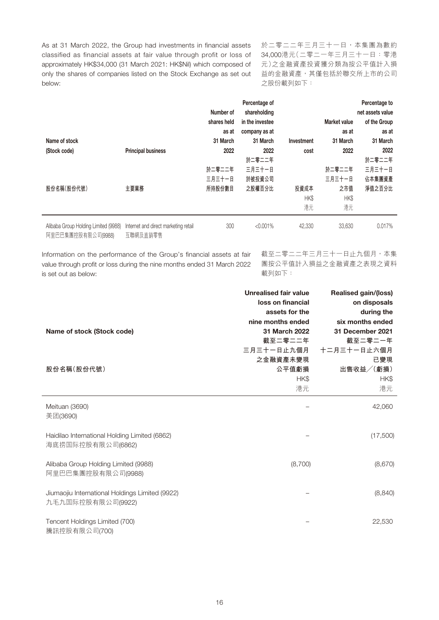As at 31 March 2022, the Group had investments in financial assets classified as financial assets at fair value through profit or loss of approximately HK\$34,000 (31 March 2021: HK\$Nil) which composed of only the shares of companies listed on the Stock Exchange as set out below:

於二零二二年三月三十一日,本集團為數約 34,000港元(二零二一年三月三十一日:零港 元)之金融資產投資獲分類為按公平值計入損 益的金融資產,其僅包括於聯交所上市的公司 之股份載列如下:

| Name of stock                                              |                                                  | Number of<br>shares held<br>as at<br>31 March | Percentage of<br>shareholding<br>in the investee<br>company as at<br>31 March | Investment         | <b>Market value</b><br>as at<br>31 March | Percentage to<br>net assets value<br>of the Group<br>as at<br>31 March |
|------------------------------------------------------------|--------------------------------------------------|-----------------------------------------------|-------------------------------------------------------------------------------|--------------------|------------------------------------------|------------------------------------------------------------------------|
| (Stock code)                                               | <b>Principal business</b>                        | 2022<br>於二零二二年                                | 2022<br>於二零二二年<br>三月三十一日                                                      | cost               | 2022<br>於二零二二年                           | 2022<br>於二零二二年<br>三月三十一日                                               |
| 股份名稱(股份代號)                                                 | 主要業務                                             | 三月三十一日<br>所持股份數目                              | 於被投資公司<br>之股權百分比                                                              | 投資成本<br>HK\$<br>港元 | 三月三十一日<br>之市值<br>HK\$<br>港元              | 佔本集團資產<br>淨值之百分比                                                       |
| Alibaba Group Holding Limited (9988)<br>阿里巴巴集團控股有限公司(9988) | Internet and direct marketing retail<br>互聯網及直銷零售 | 300                                           | < 0.001%                                                                      | 42,330             | 33,630                                   | 0.017%                                                                 |

Information on the performance of the Group's financial assets at fair value through profit or loss during the nine months ended 31 March 2022 is set out as below:

截至二零二二年三月三十一日止九個月,本集 團按公平值計入損益之金融資產之表現之資料 載列如下:

|                                                                      | <b>Unrealised fair value</b><br>loss on financial<br>assets for the | <b>Realised gain/(loss)</b><br>on disposals<br>during the |
|----------------------------------------------------------------------|---------------------------------------------------------------------|-----------------------------------------------------------|
| Name of stock (Stock code)                                           | nine months ended<br>31 March 2022<br>截至二零二二年                       | six months ended<br>31 December 2021<br>截至二零二一年           |
| 股份名稱(股份代號)                                                           | 三月三十一日止九個月<br>之金融資產未變現<br>公平值虧損<br>HK\$<br>港元                       | 十二月三十一日止六個月<br>已變現<br>出售收益/(虧損)<br>HK\$<br>港元             |
| Meituan (3690)<br>美团(3690)                                           |                                                                     | 42,060                                                    |
| Haidilao International Holding Limited (6862)<br>海底捞国际控股有限公司(6862)   |                                                                     | (17,500)                                                  |
| Alibaba Group Holding Limited (9988)<br>阿里巴巴集團控股有限公司(9988)           | (8,700)                                                             | (8,670)                                                   |
| Jiumaojiu International Holdings Limited (9922)<br>九毛九国际控股有限公司(9922) |                                                                     | (8, 840)                                                  |
| Tencent Holdings Limited (700)<br>騰訊控股有限公司(700)                      |                                                                     | 22,530                                                    |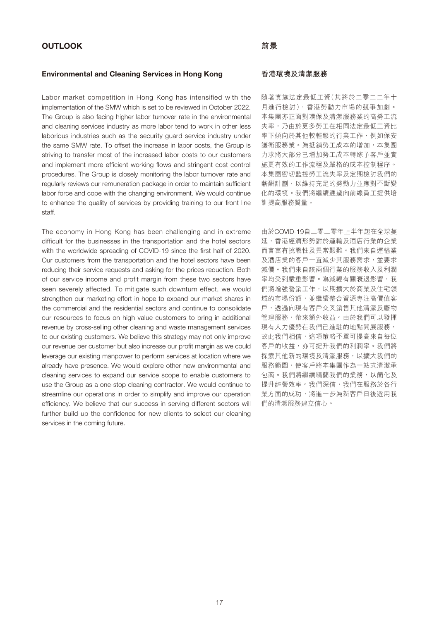#### Environmental and Cleaning Services in Hong Kong

Labor market competition in Hong Kong has intensified with the implementation of the SMW which is set to be reviewed in October 2022. The Group is also facing higher labor turnover rate in the environmental and cleaning services industry as more labor tend to work in other less laborious industries such as the security guard service industry under the same SMW rate. To offset the increase in labor costs, the Group is striving to transfer most of the increased labor costs to our customers and implement more efficient working flows and stringent cost control procedures. The Group is closely monitoring the labor turnover rate and regularly reviews our remuneration package in order to maintain sufficient labor force and cope with the changing environment. We would continue to enhance the quality of services by providing training to our front line staff.

The economy in Hong Kong has been challenging and in extreme difficult for the businesses in the transportation and the hotel sectors with the worldwide spreading of COVID-19 since the first half of 2020. Our customers from the transportation and the hotel sectors have been reducing their service requests and asking for the prices reduction. Both of our service income and profit margin from these two sectors have seen severely affected. To mitigate such downturn effect, we would strengthen our marketing effort in hope to expand our market shares in the commercial and the residential sectors and continue to consolidate our resources to focus on high value customers to bring in additional revenue by cross-selling other cleaning and waste management services to our existing customers. We believe this strategy may not only improve our revenue per customer but also increase our profit margin as we could leverage our existing manpower to perform services at location where we already have presence. We would explore other new environmental and cleaning services to expand our service scope to enable customers to use the Group as a one-stop cleaning contractor. We would continue to streamline our operations in order to simplify and improve our operation efficiency. We believe that our success in serving different sectors will further build up the confidence for new clients to select our cleaning services in the coming future.

#### **香港環境及清潔服務**

隨著實施法定最低工資(其將於二零二二年十 月進行檢討),香港勞動力市場的競爭加劇。 本集團亦正面對環保及清潔服務業的高勞工流 失率,乃由於更多勞工在相同法定最低工資比 率下傾向於其他較輕鬆的行業工作,例如保安 護衛服務業。為抵銷勞工成本的增加,本集團 力求將大部分已增加勞工成本轉嫁予客戶並實 施更有效的工作流程及嚴格的成本控制程序。 本集團密切監控勞工流失率及定期檢討我們的 薪酬計劃,以維持充足的勞動力並應對不斷變 化的環境。我們將繼續通過向前線員工提供培 訓提高服務質量。

由於COVID-19自二零二零年上半年起在全球蔓 延,香港經濟形勢對於運輸及酒店行業的企業 而言富有挑戰性及異常艱難。我們來自運輸業 及酒店業的客戶一直減少其服務需求,並要求 減價。我們來自該兩個行業的服務收入及利潤 率均受到嚴重影響。為減輕有關衰退影響,我 們將增強營銷工作,以期擴大於商業及住宅領 域的市場份額,並繼續整合資源專注高價值客 戶,透過向現有客戶交叉銷售其他清潔及廢物 管理服務,帶來額外收益。由於我們可以發揮 現有人力優勢在我們已進駐的地點開展服務, 故此我們相信,這項策略不單可提高來自每位 客戶的收益,亦可提升我們的利潤率。我們將 探索其他新的環境及清潔服務,以擴大我們的 服務範圍,使客戶將本集團作為一站式清潔承 包商。我們將繼續精簡我們的業務,以簡化及 提升經營效率。我們深信,我們在服務於各行 業方面的成功,將進一步為新客戶日後選用我 們的清潔服務建立信心。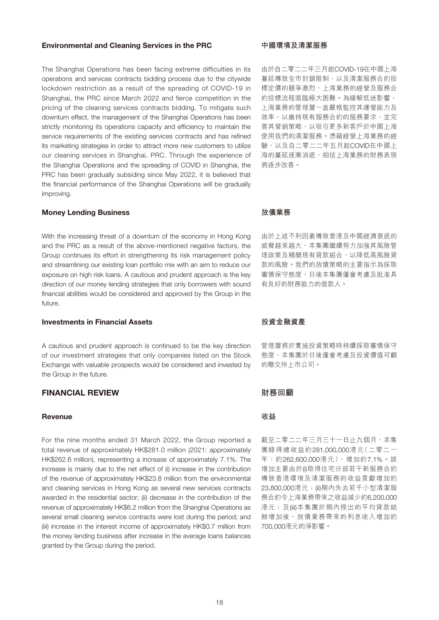#### Environmental and Cleaning Services in the PRC

The Shanghai Operations has been facing extreme difficulties in its operations and services contracts bidding process due to the citywide lockdown restriction as a result of the spreading of COVID-19 in Shanghai, the PRC since March 2022 and fierce competition in the pricing of the cleaning services contracts bidding. To mitigate such downturn effect, the management of the Shanghai Operations has been strictly monitoring its operations capacity and efficiency to maintain the service requirements of the existing services contracts and has refined its marketing strategies in order to attract more new customers to utilize our cleaning services in Shanghai, PRC. Through the experience of the Shanghai Operations and the spreading of COVID in Shanghai, the PRC has been gradually subsiding since May 2022, it is believed that the financial performance of the Shanghai Operations will be gradually improving.

#### Money Lending Business

With the increasing threat of a downturn of the economy in Hong Kong and the PRC as a result of the above-mentioned negative factors, the Group continues its effort in strengthening its risk management policy and streamlining our existing loan portfolio mix with an aim to reduce our exposure on high risk loans. A cautious and prudent approach is the key direction of our money lending strategies that only borrowers with sound financial abilities would be considered and approved by the Group in the future.

# Investments in Financial Assets

A cautious and prudent approach is continued to be the key direction of our investment strategies that only companies listed on the Stock Exchange with valuable prospects would be considered and invested by the Group in the future.

# FINANCIAL REVIEW

# Revenue

For the nine months ended 31 March 2022, the Group reported a total revenue of approximately HK\$281.0 million (2021: approximately HK\$262.6 million), representing a increase of approximately 7.1%. The increase is mainly due to the net effect of (i) increase in the contribution of the revenue of approximately HK\$23.8 million from the environmental and cleaning services in Hong Kong as several new services contracts awarded in the residential sector; (ii) decrease in the contribution of the revenue of approximately HK\$6.2 million from the Shanghai Operations as several small cleaning service contracts were lost during the period; and (iii) increase in the interest income of approximately HK\$0.7 million from the money lending business after increase in the average loans balances granted by the Group during the period.

### **中國環境及清潔服務**

由於自二零二二年三月起COVID-19在中國上海 蔓延導致全市封鎖限制,以及清潔服務合約投 標定價的競爭激烈,上海業務的經營及服務合 約投標流程面臨極大困難。為緩解低迷影響, 上海業務的管理層一直嚴格監控其運營能力及 效率,以維持現有服務合約的服務要求,並完 善其營銷策略,以吸引更多新客戶於中國上海 使用我們的清潔服務。憑藉經營上海業務的經 驗,以及自二零二二年五月起COVID在中國上 海的蔓延逐漸消退,相信上海業務的財務表現 將逐步改善。

#### **放債業務**

由於上述不利因素導致香港及中國經濟衰退的 威脅越來越大,本集團繼續努力加強其風險管 理政策及精簡現有貸款組合,以降低高風險貸 款的風險。我們的放債策略的主要指示為採取 審慎保守態度,日後本集團僅會考慮及批准具 有良好的財務能力的借款人。

# **投資金融資產**

管理層將於實施投資策略時持續採取審慎保守 態度,本集團於日後僅會考慮及投資價值可觀 的聯交所上市公司。

# **財務回顧**

# **收益**

截至二零二二年三月三十一日止九個月,本集 團錄得總收益約281,000,000港元(二零二一 年:約262,600,000港元),增加約7.1%。該 增加主要由於(i)取得住宅分部若干新服務合約 導致香港環境及清潔服務的收益貢獻增加約 23,800,000港元;(ii)期內失去若干小型清潔服 務合約令上海業務帶來之收益減少約6,200,000 港元;及(iii)本集團於期內授出的平均貸款結 餘增加後,放債業務帶來的利息收入增加約 700,000港元的淨影響。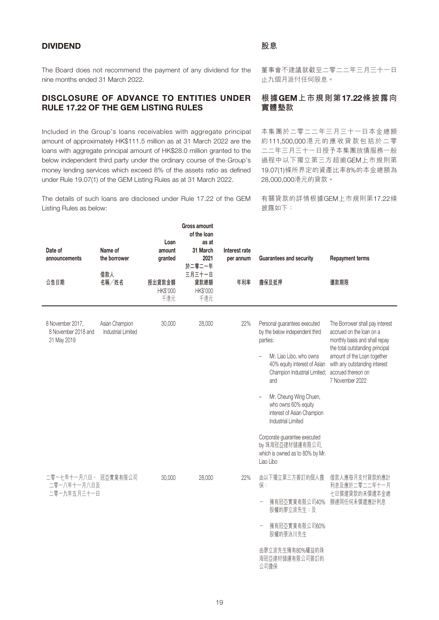# DIVIDEND

The Board does not recommend the payment of any dividend for the nine months ended 31 March 2022.

# DISCLOSURE OF ADVANCE TO ENTITIES UNDER RULE 17.22 OF THE GEM LISTING RULES

Included in the Group's loans receivables with aggregate principal amount of approximately HK\$111.5 million as at 31 March 2022 are the loans with aggregate principal amount of HK\$28.0 million granted to the below independent third party under the ordinary course of the Group's money lending services which exceed 8% of the assets ratio as defined under Rule 19.07(1) of the GEM Listing Rules as at 31 March 2022.

The details of such loans are disclosed under Rule 17.22 of the GEM Listing Rules as below:

Gross amount

董事會不建議就截至二零二二年三月三十一日 止九個月派付任何股息。

# **根據**GEM**上市規則第**17.22**條披露向 實體墊款**

本集團於二零二二年三月三十一日本金總額 約111,500,000港元的應收貸款包括於二零 二二年三月三十一日授予本集團放債服務一般 過程中以下獨立第三方超逾GEM上市規則第 19.07(1)條所界定的資產比率8%的本金總額為 28,000,000港元的貸款。

有關貸款的詳情根據GEM上市規則第17.22條 披露如下:

| Name of<br>Date of<br>the borrower<br>announcements<br>借款人<br>名稱/姓名<br>公告日期 | Loan<br>amount<br>granted<br>授出貸款金額<br>HK\$'000 | Gross amount<br>of the loan<br>as at<br>31 March<br>2021<br>於二零二一年<br>三月三十一日<br>貸款總額<br>HK\$'000 | Interest rate<br>per annum<br>年利率 | <b>Guarantees and security</b><br>擔保及抵押                                                                                                                                                                                                                                                  | <b>Repayment terms</b><br>還款期限                                                                                                                                                                                                           |
|-----------------------------------------------------------------------------|-------------------------------------------------|--------------------------------------------------------------------------------------------------|-----------------------------------|------------------------------------------------------------------------------------------------------------------------------------------------------------------------------------------------------------------------------------------------------------------------------------------|------------------------------------------------------------------------------------------------------------------------------------------------------------------------------------------------------------------------------------------|
|                                                                             | 千港元                                             | 千港元                                                                                              |                                   |                                                                                                                                                                                                                                                                                          |                                                                                                                                                                                                                                          |
| Asian Champion<br>8 November 2017,<br>8 November 2018 and<br>31 May 2019    | 30,000<br><b>Industrial Limited</b>             | 28,000                                                                                           | 22%                               | Personal guarantees executed<br>by the below independent third<br>parties:<br>Mr. Liao Libo, who owns<br>40% equity interest of Asian<br>Champion Industrial Limited;<br>and<br>Mr. Cheung Wing Chuen,<br>who owns 60% equity<br>interest of Asian Champion<br><b>Industrial Limited</b> | The Borrower shall pay interest<br>accrued on the loan on a<br>monthly basis and shall repay<br>the total outstanding principal<br>amount of the Loan together<br>with any outstanding interest<br>accrued thereon on<br>7 November 2022 |
|                                                                             |                                                 |                                                                                                  |                                   | Corporate guarantee executed<br>by 珠海冠亞建材儲運有限公司,<br>which is owned as to 80% by Mr.<br>Liao Libo                                                                                                                                                                                         |                                                                                                                                                                                                                                          |
| 二零一七年十一月八日、 冠亞實業有限公司<br>二零一八年十一月八日及<br>二零一九年五月三十一日                          | 30,000                                          | 28,000                                                                                           | 22%                               | 由以下獨立第三方簽訂的個人擔<br>保:<br>擁有冠亞實業有限公司40%<br>股權的廖立波先生;及<br>擁有冠亞實業有限公司60%<br>股權的張泳川先生<br>由廖立波先生擁有80%權益的珠<br>海冠亞建材儲運有限公司簽訂的                                                                                                                                                                    | 借款人應每月支付貸款的應計<br>利息及應於二零二二年十一月<br>七日償還貸款的未償還本金總<br>額連同任何未償還應計利息                                                                                                                                                                          |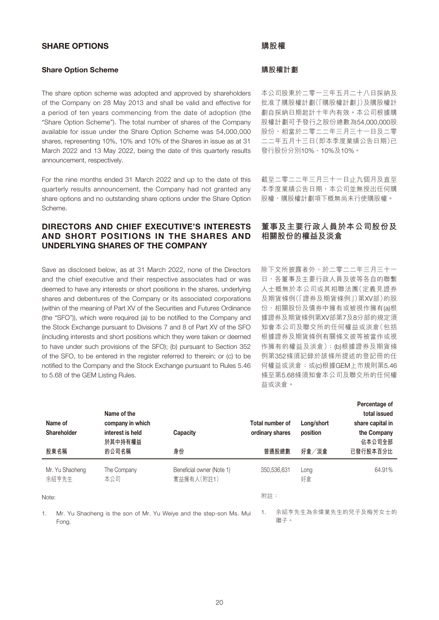# SHARE OPTIONS

### Share Option Scheme

The share option scheme was adopted and approved by shareholders of the Company on 28 May 2013 and shall be valid and effective for a period of ten years commencing from the date of adoption (the "Share Option Scheme"). The total number of shares of the Company available for issue under the Share Option Scheme was 54,000,000 shares, representing 10%, 10% and 10% of the Shares in issue as at 31 March 2022 and 13 May 2022, being the date of this quarterly results announcement, respectively.

For the nine months ended 31 March 2022 and up to the date of this quarterly results announcement, the Company had not granted any share options and no outstanding share options under the Share Option Scheme.

# DIRECTORS AND CHIEF EXECUTIVE'S INTERESTS AND SHORT POSITIONS IN THE SHARES AND UNDERLYING SHARES OF THE COMPANY

Save as disclosed below, as at 31 March 2022, none of the Directors and the chief executive and their respective associates had or was deemed to have any interests or short positions in the shares, underlying shares and debentures of the Company or its associated corporations (within of the meaning of Part XV of the Securities and Futures Ordinance (the "SFO")), which were required (a) to be notified to the Company and the Stock Exchange pursuant to Divisions 7 and 8 of Part XV of the SFO (including interests and short positions which they were taken or deemed to have under such provisions of the SFO); (b) pursuant to Section 352 of the SFO, to be entered in the register referred to therein; or (c) to be notified to the Company and the Stock Exchange pursuant to Rules 5.46 to 5.68 of the GEM Listing Rules.

#### **購股權**

# **購股權計劃**

本公司股東於二零一三年五月二十八日採納及 批准了購股權計劃(「購股權計劃」)及購股權計 劃自採納日期起計十年內有效。本公司根據購 股權計劃可予發行之股份總數為54,000,000股 股份,相當於二零二二年三月三十一日及二零 二二年五月十三日(即本季度業績公告日期)已 發行股份分別10%、10%及10%。

截至二零二二年三月三十一日止九個月及直至 本季度業績公告日期,本公司並無授出任何購 股權,購股權計劃項下概無尚未行使購股權。

# **董事及主要行政人員於本公司股份及 相關股份的權益及淡倉**

除下文所披露者外,於二零二二年三月三十一 日,各董事及主要行政人員及彼等各自的聯繫 人士概無於本公司或其相聯法團(定義見證券 及期貨條例(「證券及期貨條例」)第XV部)的股 份、相關股份及債券中擁有或被視作擁有(a)根 據證券及期貨條例第XV部第7及8分部的規定須 知會本公司及聯交所的任何權益或淡倉(包括 根據證券及期貨條例有關條文彼等被當作或視 作擁有的權益及淡倉);(b)根據證券及期貨條 例第352條須記錄於該條所提述的登記冊的任 何權益或淡倉;或(c)根據GEM上市規則第5.46 條至第5.68條須知會本公司及聯交所的任何權 益或淡倉。

| Name of<br>Shareholder   | Name of the<br>company in which<br>interest is held<br>於其中持有權益 | Capacity                                                            | Total number of<br>ordinary shares | Long/short<br>position | Percentage of<br>total issued<br>share capital in<br>the Company<br>佔本公司全部 |
|--------------------------|----------------------------------------------------------------|---------------------------------------------------------------------|------------------------------------|------------------------|----------------------------------------------------------------------------|
| 股東名稱                     | 的公司名稱                                                          | 身份                                                                  | 普通股總數                              | 好倉/淡倉                  | 已發行股本百分比                                                                   |
| Mr. Yu Shaoheng<br>余紹亨先生 | The Company<br>本公司                                             | Beneficial owner (Note 1)<br>實益擁有人(附註1)                             | 350,536,631                        | Long<br>好倉             | 64.91%                                                                     |
| Note:                    |                                                                |                                                                     | 附註:                                |                        |                                                                            |
| 1.<br>Fong.              |                                                                | Mr. Yu Shaoheng is the son of Mr. Yu Weiye and the step-son Ms. Mui | 1.<br>繼子。                          |                        | 余紹亨先生為余偉業先生的兒子及梅芳女士的                                                       |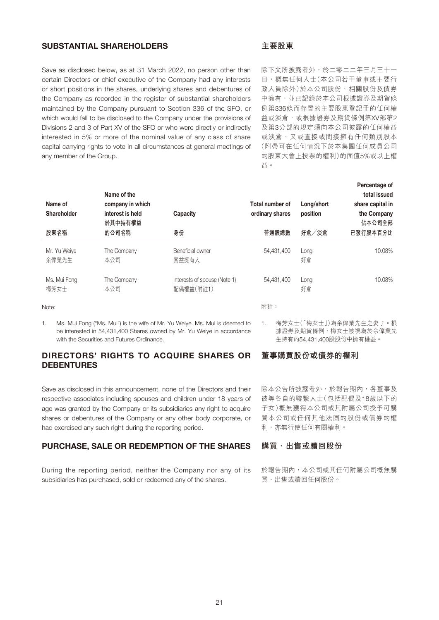# SUBSTANTIAL SHAREHOLDERS

Save as disclosed below, as at 31 March 2022, no person other than certain Directors or chief executive of the Company had any interests or short positions in the shares, underlying shares and debentures of the Company as recorded in the register of substantial shareholders maintained by the Company pursuant to Section 336 of the SFO, or which would fall to be disclosed to the Company under the provisions of Divisions 2 and 3 of Part XV of the SFO or who were directly or indirectly interested in 5% or more of the nominal value of any class of share capital carrying rights to vote in all circumstances at general meetings of any member of the Group.

# **主要股東**

除下文所披露者外,於二零二二年三月三十一 日,概無任何人士(本公司若干董事或主要行 政人員除外)於本公司股份、相關股份及債券 中擁有,並已記錄於本公司根據證券及期貨條 例第336條而存置的主要股東登記冊的任何權 益或淡倉,或根據證券及期貨條例第XV部第2 及第3分部的規定須向本公司披露的任何權益 或淡倉,又或直接或間接擁有任何類別股本 (附帶可在任何情況下於本集團任何成員公司 的股東大會上投票的權利)的面值5%或以上權 益。

Percentage of

| Name of<br>Shareholder        | Name of the<br>company in which<br>interest is held<br>於其中持有權益 | Capacity                                  | Total number of<br>ordinary shares | Long/short<br>position | <b>Percentage of</b><br>total issued<br>share capital in<br>the Company<br>佔本公司全部 |
|-------------------------------|----------------------------------------------------------------|-------------------------------------------|------------------------------------|------------------------|-----------------------------------------------------------------------------------|
| 股東名稱<br>Mr. Yu Weive<br>余偉業先生 | 的公司名稱<br>The Company<br>本公司                                    | 身份<br>Beneficial owner<br>實益擁有人           | 普通股總數<br>54.431.400                | 好倉/淡倉<br>Long<br>好倉    | 已發行股本百分比<br>10.08%                                                                |
| Ms. Mui Fong<br>梅芳女士          | The Company<br>本公司                                             | Interests of spouse (Note 1)<br>配偶權益(附註1) | 54.431.400                         | Long<br>好倉             | 10.08%                                                                            |

Note:

1. Ms. Mui Fong ("Ms. Mui") is the wife of Mr. Yu Weiye. Ms. Mui is deemed to be interested in 54,431,400 Shares owned by Mr. Yu Weiye in accordance with the Securities and Futures Ordinance.

# DIRECTORS' RIGHTS TO ACQUIRE SHARES OR **DEBENTURES**

Save as disclosed in this announcement, none of the Directors and their respective associates including spouses and children under 18 years of age was granted by the Company or its subsidiaries any right to acquire shares or debentures of the Company or any other body corporate, or had exercised any such right during the reporting period.

# PURCHASE, SALE OR REDEMPTION OF THE SHARES

During the reporting period, neither the Company nor any of its subsidiaries has purchased, sold or redeemed any of the shares.

附註:

1. 梅芳女士(「梅女士」)為余偉業先生之妻子。根 據證券及期貨條例,梅女士被視為於余偉業先 生持有的54,431,400股股份中擁有權益。

# **董事購買股份或債券的權利**

除本公告所披露者外,於報告期內,各董事及 彼等各自的聯繫人士(包括配偶及18歲以下的 子女)概無獲得本公司或其附屬公司授予可購 買本公司或任何其他法團的股份或債券的權 利,亦無行使任何有關權利。

# **購買、出售或贖回股份**

於報告期內,本公司或其任何附屬公司概無購 買、出售或贖回任何股份。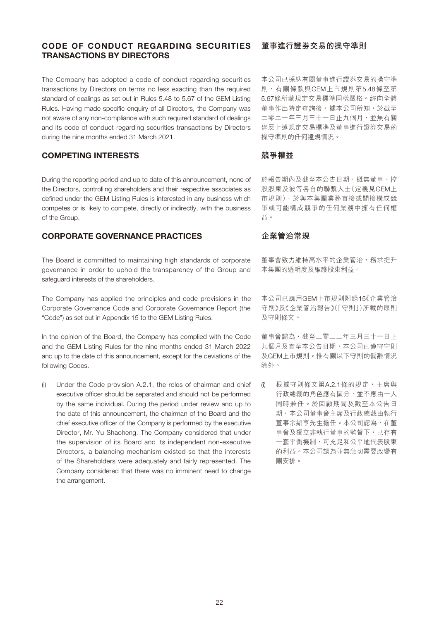# CODE OF CONDUCT REGARDING SECURITIES TRANSACTIONS BY DIRECTORS

The Company has adopted a code of conduct regarding securities transactions by Directors on terms no less exacting than the required standard of dealings as set out in Rules 5.48 to 5.67 of the GEM Listing Rules. Having made specific enquiry of all Directors, the Company was not aware of any non-compliance with such required standard of dealings and its code of conduct regarding securities transactions by Directors during the nine months ended 31 March 2021.

# COMPETING INTERESTS

During the reporting period and up to date of this announcement, none of the Directors, controlling shareholders and their respective associates as defined under the GEM Listing Rules is interested in any business which competes or is likely to compete, directly or indirectly, with the business of the Group.

# CORPORATE GOVERNANCE PRACTICES

The Board is committed to maintaining high standards of corporate governance in order to uphold the transparency of the Group and safeguard interests of the shareholders.

The Company has applied the principles and code provisions in the Corporate Governance Code and Corporate Governance Report (the "Code") as set out in Appendix 15 to the GEM Listing Rules.

In the opinion of the Board, the Company has complied with the Code and the GEM Listing Rules for the nine months ended 31 March 2022 and up to the date of this announcement, except for the deviations of the following Codes.

(i) Under the Code provision A.2.1, the roles of chairman and chief executive officer should be separated and should not be performed by the same individual. During the period under review and up to the date of this announcement, the chairman of the Board and the chief executive officer of the Company is performed by the executive Director, Mr. Yu Shaoheng. The Company considered that under the supervision of its Board and its independent non-executive Directors, a balancing mechanism existed so that the interests of the Shareholders were adequately and fairly represented. The Company considered that there was no imminent need to change the arrangement.

# **董事進行證券交易的操守準則**

本公司已採納有關董事進行證券交易的操守準 則,有關條款與GEM上市規則第5.48條至第 5.67條所載規定交易標準同樣嚴格。經向全體 董事作出特定查詢後,據本公司所知,於截至 二零二一年三月三十一日止九個月,並無有關 違反上述規定交易標準及董事進行證券交易的 操守準則的任何違規情況。

### **競爭權益**

於報告期內及截至本公告日期,概無董事、控 股股東及彼等各自的聯繫人士(定義見GEM上 市規則),於與本集團業務直接或間接構成競 爭或可能構成競爭的任何業務中擁有任何權 益。

# **企業管治常規**

董事會致力維持高水平的企業管治,務求提升 本集團的透明度及維護股東利益。

本公司已應用GEM上市規則附錄15《企業管治 守則》及《企業管治報告》(「守則」)所載的原則 及守則條文。

董事會認為,截至二零二二年三月三十一日止 九個月及直至本公告日期,本公司已遵守守則 及GEM上市規則。惟有關以下守則的偏離情況 除外。

(i) 根據守則條文第A.2.1條的規定,主席與 行政總裁的角色應有區分,並不應由一人 同時兼任。於回顧期間及截至本公告日 期,本公司董事會主席及行政總裁由執行 董事余紹亨先生擔任。本公司認為,在董 事會及獨立非執行董事的監督下,已存有 一套平衡機制,可充足和公平地代表股東 的利益。本公司認為並無急切需要改變有 關安排。